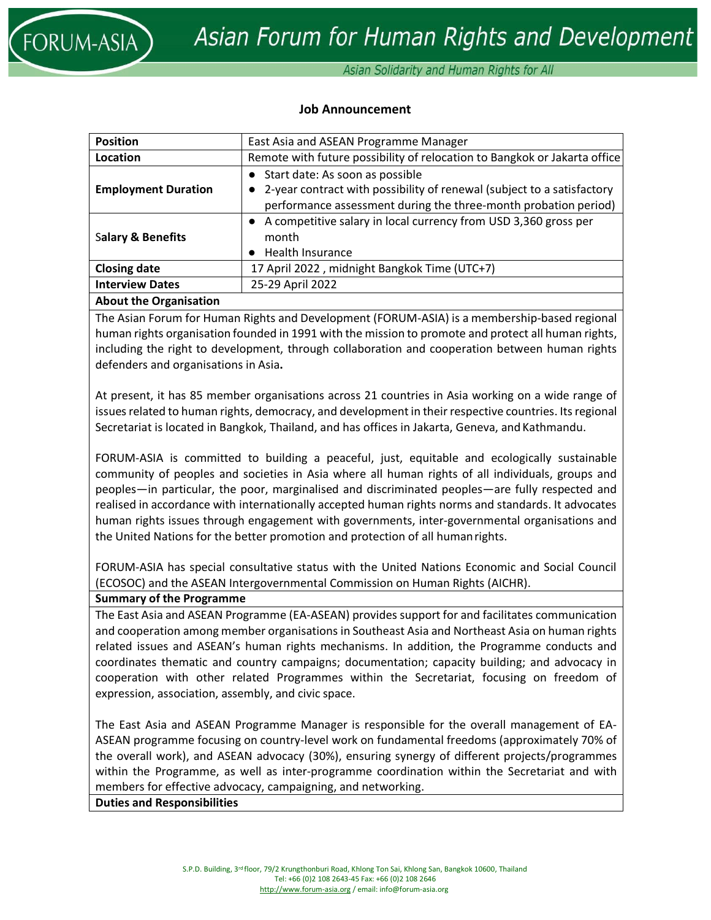

Asian Solidarity and Human Rights for All

### **Job Announcement**

| <b>Position</b>              | East Asia and ASEAN Programme Manager                                     |
|------------------------------|---------------------------------------------------------------------------|
| Location                     | Remote with future possibility of relocation to Bangkok or Jakarta office |
|                              | Start date: As soon as possible                                           |
| <b>Employment Duration</b>   | 2-year contract with possibility of renewal (subject to a satisfactory    |
|                              | performance assessment during the three-month probation period)           |
|                              | • A competitive salary in local currency from USD 3,360 gross per         |
| <b>Salary &amp; Benefits</b> | month                                                                     |
|                              | Health Insurance                                                          |
| <b>Closing date</b>          | 17 April 2022, midnight Bangkok Time (UTC+7)                              |
| <b>Interview Dates</b>       | 25-29 April 2022                                                          |
|                              |                                                                           |

### **About the Organisation**

The Asian Forum for Human Rights and Development (FORUM-ASIA) is a membership-based regional human rights organisation founded in 1991 with the mission to promote and protect all human rights, including the right to development, through collaboration and cooperation between human rights defenders and organisations in Asia**.** 

At present, it has 85 member organisations across 21 countries in Asia working on a wide range of issues related to human rights, democracy, and development in their respective countries. Its regional Secretariat is located in Bangkok, Thailand, and has offices in Jakarta, Geneva, and Kathmandu.

FORUM-ASIA is committed to building a peaceful, just, equitable and ecologically sustainable community of peoples and societies in Asia where all human rights of all individuals, groups and peoples—in particular, the poor, marginalised and discriminated peoples—are fully respected and realised in accordance with internationally accepted human rights norms and standards. It advocates human rights issues through engagement with governments, inter-governmental organisations and the United Nations for the better promotion and protection of all humanrights.

FORUM-ASIA has special consultative status with the United Nations Economic and Social Council (ECOSOC) and the ASEAN Intergovernmental Commission on Human Rights (AICHR).

#### **Summary of the Programme**

The East Asia and ASEAN Programme (EA-ASEAN) provides support for and facilitates communication and cooperation among member organisations in Southeast Asia and Northeast Asia on human rights related issues and ASEAN's human rights mechanisms. In addition, the Programme conducts and coordinates thematic and country campaigns; documentation; capacity building; and advocacy in cooperation with other related Programmes within the Secretariat, focusing on freedom of expression, association, assembly, and civic space.

The East Asia and ASEAN Programme Manager is responsible for the overall management of EA-ASEAN programme focusing on country-level work on fundamental freedoms (approximately 70% of the overall work), and ASEAN advocacy (30%), ensuring synergy of different projects/programmes within the Programme, as well as inter-programme coordination within the Secretariat and with members for effective advocacy, campaigning, and networking.

**Duties and Responsibilities**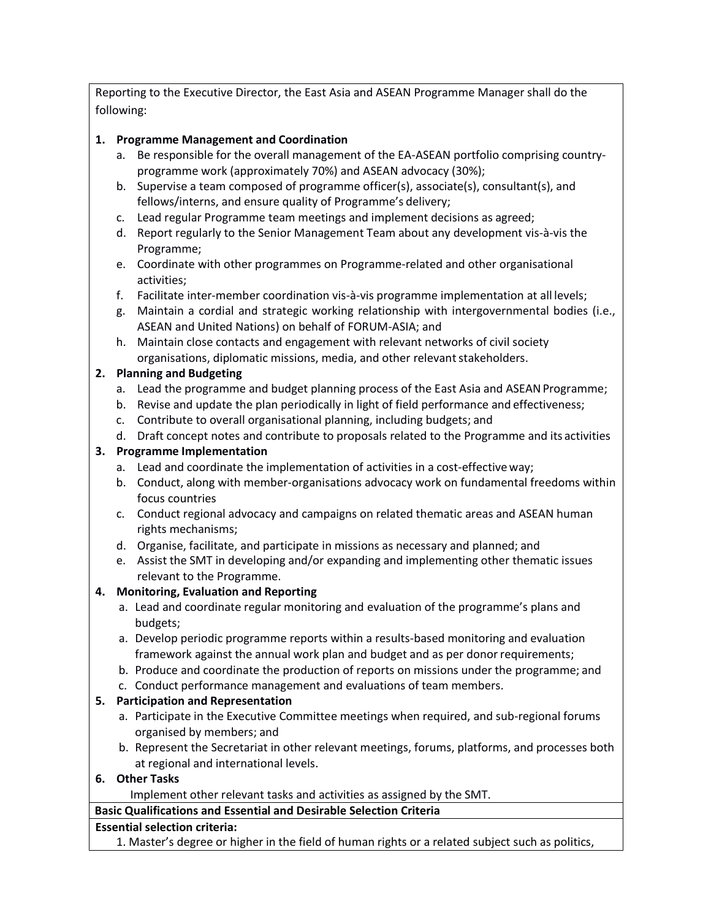Reporting to the Executive Director, the East Asia and ASEAN Programme Manager shall do the following:

# **1. Programme Management and Coordination**

- a. Be responsible for the overall management of the EA-ASEAN portfolio comprising countryprogramme work (approximately 70%) and ASEAN advocacy (30%);
- b. Supervise a team composed of programme officer(s), associate(s), consultant(s), and fellows/interns, and ensure quality of Programme's delivery;
- c. Lead regular Programme team meetings and implement decisions as agreed;
- d. Report regularly to the Senior Management Team about any development vis-à-vis the Programme;
- e. Coordinate with other programmes on Programme-related and other organisational activities;
- f. Facilitate inter-member coordination vis-à-vis programme implementation at all levels;
- g. Maintain a cordial and strategic working relationship with intergovernmental bodies (i.e., ASEAN and United Nations) on behalf of FORUM-ASIA; and
- h. Maintain close contacts and engagement with relevant networks of civil society organisations, diplomatic missions, media, and other relevant stakeholders.

# **2. Planning and Budgeting**

- a. Lead the programme and budget planning process of the East Asia and ASEAN Programme;
- b. Revise and update the plan periodically in light of field performance and effectiveness;
- c. Contribute to overall organisational planning, including budgets; and
- d. Draft concept notes and contribute to proposals related to the Programme and its activities

# **3. Programme Implementation**

- a. Lead and coordinate the implementation of activities in a cost-effectiveway;
- b. Conduct, along with member-organisations advocacy work on fundamental freedoms within focus countries
- c. Conduct regional advocacy and campaigns on related thematic areas and ASEAN human rights mechanisms;
- d. Organise, facilitate, and participate in missions as necessary and planned; and
- e. Assist the SMT in developing and/or expanding and implementing other thematic issues relevant to the Programme.

# **4. Monitoring, Evaluation and Reporting**

- a. Lead and coordinate regular monitoring and evaluation of the programme's plans and budgets;
- a. Develop periodic programme reports within a results-based monitoring and evaluation framework against the annual work plan and budget and as per donor requirements;
- b. Produce and coordinate the production of reports on missions under the programme; and
- c. Conduct performance management and evaluations of team members.

# **5. Participation and Representation**

- a. Participate in the Executive Committee meetings when required, and sub-regional forums organised by members; and
- b. Represent the Secretariat in other relevant meetings, forums, platforms, and processes both at regional and international levels.
- **6. Other Tasks**

Implement other relevant tasks and activities as assigned by the SMT.

**Basic Qualifications and Essential and Desirable Selection Criteria**

## **Essential selection criteria:**

1. Master's degree or higher in the field of human rights or a related subject such as politics,